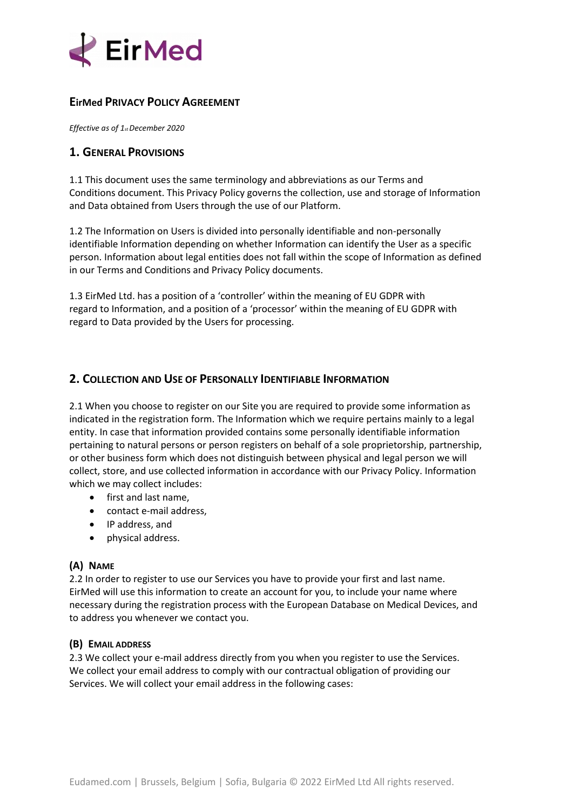

### **EirMed PRIVACY POLICY AGREEMENT**

*Effective as of 1st December 2020*

### **1. GENERAL PROVISIONS**

1.1 This document uses the same terminology and abbreviations as our Terms and Conditions document. This Privacy Policy governs the collection, use and storage of Information and Data obtained from Users through the use of our Platform.

1.2 The Information on Users is divided into personally identifiable and non-personally identifiable Information depending on whether Information can identify the User as a specific person. Information about legal entities does not fall within the scope of Information as defined in our Terms and Conditions and Privacy Policy documents.

1.3 EirMed Ltd. has a position of a 'controller' within the meaning of EU GDPR with regard to Information, and a position of a 'processor' within the meaning of EU GDPR with regard to Data provided by the Users for processing.

# **2. COLLECTION AND USE OF PERSONALLY IDENTIFIABLE INFORMATION**

2.1 When you choose to register on our Site you are required to provide some information as indicated in the registration form. The Information which we require pertains mainly to a legal entity. In case that information provided contains some personally identifiable information pertaining to natural persons or person registers on behalf of a sole proprietorship, partnership, or other business form which does not distinguish between physical and legal person we will collect, store, and use collected information in accordance with our Privacy Policy. Information which we may collect includes:

- first and last name,
- contact e-mail address,
- IP address, and
- physical address.

#### **(A) NAME**

2.2 In order to register to use our Services you have to provide your first and last name. EirMed will use this information to create an account for you, to include your name where necessary during the registration process with the European Database on Medical Devices, and to address you whenever we contact you.

#### **(B) EMAIL ADDRESS**

2.3 We collect your e-mail address directly from you when you register to use the Services. We collect your email address to comply with our contractual obligation of providing our Services. We will collect your email address in the following cases: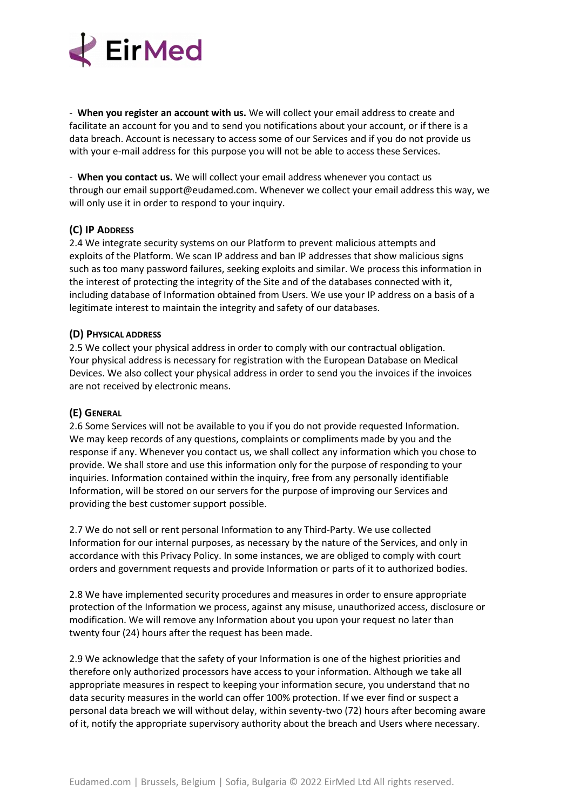

- **When you register an account with us.** We will collect your email address to create and facilitate an account for you and to send you notifications about your account, or if there is a data breach. Account is necessary to access some of our Services and if you do not provide us with your e-mail address for this purpose you will not be able to access these Services.

- **When you contact us.** We will collect your email address whenever you contact us through our email support@eudamed.com. Whenever we collect your email address this way, we will only use it in order to respond to your inquiry.

#### **(C) IP ADDRESS**

2.4 We integrate security systems on our Platform to prevent malicious attempts and exploits of the Platform. We scan IP address and ban IP addresses that show malicious signs such as too many password failures, seeking exploits and similar. We process this information in the interest of protecting the integrity of the Site and of the databases connected with it, including database of Information obtained from Users. We use your IP address on a basis of a legitimate interest to maintain the integrity and safety of our databases.

#### **(D) PHYSICAL ADDRESS**

2.5 We collect your physical address in order to comply with our contractual obligation. Your physical address is necessary for registration with the European Database on Medical Devices. We also collect your physical address in order to send you the invoices if the invoices are not received by electronic means.

#### **(E) GENERAL**

2.6 Some Services will not be available to you if you do not provide requested Information. We may keep records of any questions, complaints or compliments made by you and the response if any. Whenever you contact us, we shall collect any information which you chose to provide. We shall store and use this information only for the purpose of responding to your inquiries. Information contained within the inquiry, free from any personally identifiable Information, will be stored on our servers for the purpose of improving our Services and providing the best customer support possible.

2.7 We do not sell or rent personal Information to any Third-Party. We use collected Information for our internal purposes, as necessary by the nature of the Services, and only in accordance with this Privacy Policy. In some instances, we are obliged to comply with court orders and government requests and provide Information or parts of it to authorized bodies.

2.8 We have implemented security procedures and measures in order to ensure appropriate protection of the Information we process, against any misuse, unauthorized access, disclosure or modification. We will remove any Information about you upon your request no later than twenty four (24) hours after the request has been made.

2.9 We acknowledge that the safety of your Information is one of the highest priorities and therefore only authorized processors have access to your information. Although we take all appropriate measures in respect to keeping your information secure, you understand that no data security measures in the world can offer 100% protection. If we ever find or suspect a personal data breach we will without delay, within seventy-two (72) hours after becoming aware of it, notify the appropriate supervisory authority about the breach and Users where necessary.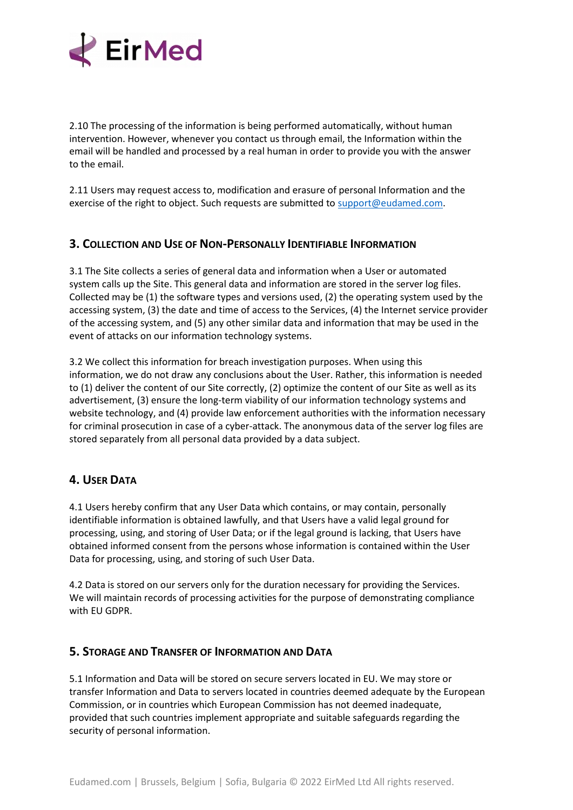

2.10 The processing of the information is being performed automatically, without human intervention. However, whenever you contact us through email, the Information within the email will be handled and processed by a real human in order to provide you with the answer to the email.

2.11 Users may request access to, modification and erasure of personal Information and the exercise of the right to object. Such requests are submitted to [support@eudamed.com.](mailto:support@eudamed.com)

# **3. COLLECTION AND USE OF NON-PERSONALLY IDENTIFIABLE INFORMATION**

3.1 The Site collects a series of general data and information when a User or automated system calls up the Site. This general data and information are stored in the server log files. Collected may be (1) the software types and versions used, (2) the operating system used by the accessing system, (3) the date and time of access to the Services, (4) the Internet service provider of the accessing system, and (5) any other similar data and information that may be used in the event of attacks on our information technology systems.

3.2 We collect this information for breach investigation purposes. When using this information, we do not draw any conclusions about the User. Rather, this information is needed to (1) deliver the content of our Site correctly, (2) optimize the content of our Site as well as its advertisement, (3) ensure the long-term viability of our information technology systems and website technology, and (4) provide law enforcement authorities with the information necessary for criminal prosecution in case of a cyber-attack. The anonymous data of the server log files are stored separately from all personal data provided by a data subject.

# **4. USER DATA**

4.1 Users hereby confirm that any User Data which contains, or may contain, personally identifiable information is obtained lawfully, and that Users have a valid legal ground for processing, using, and storing of User Data; or if the legal ground is lacking, that Users have obtained informed consent from the persons whose information is contained within the User Data for processing, using, and storing of such User Data.

4.2 Data is stored on our servers only for the duration necessary for providing the Services. We will maintain records of processing activities for the purpose of demonstrating compliance with EU GDPR.

#### **5. STORAGE AND TRANSFER OF INFORMATION AND DATA**

5.1 Information and Data will be stored on secure servers located in EU. We may store or transfer Information and Data to servers located in countries deemed adequate by the European Commission, or in countries which European Commission has not deemed inadequate, provided that such countries implement appropriate and suitable safeguards regarding the security of personal information.